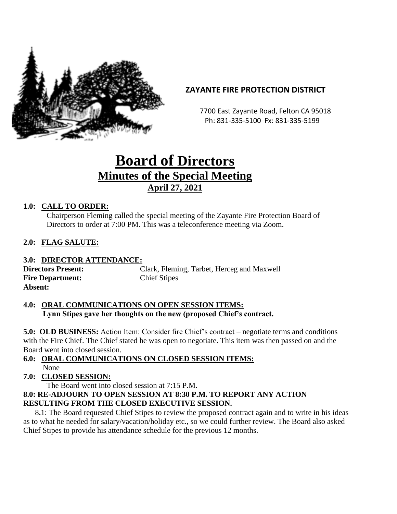

# **ZAYANTE FIRE PROTECTION DISTRICT**

 7700 East Zayante Road, Felton CA 95018 Ph: 831-335-5100 Fx: 831-335-5199

# **Board of Directors Minutes of the Special Meeting April 27, 2021**

### **1.0: CALL TO ORDER:**

Chairperson Fleming called the special meeting of the Zayante Fire Protection Board of Directors to order at 7:00 PM. This was a teleconference meeting via Zoom.

#### **2.0: FLAG SALUTE:**

#### **3.0: DIRECTOR ATTENDANCE:**

**Fire Department:** Chief Stipes **Absent:**

**Directors Present:** Clark, Fleming, Tarbet, Herceg and Maxwell

#### **4.0: ORAL COMMUNICATIONS ON OPEN SESSION ITEMS: Lynn Stipes gave her thoughts on the new (proposed Chief's contract.**

**5.0: OLD BUSINESS:** Action Item: Consider fire Chief's contract – negotiate terms and conditions with the Fire Chief. The Chief stated he was open to negotiate. This item was then passed on and the Board went into closed session.

#### **6.0: ORAL COMMUNICATIONS ON CLOSED SESSION ITEMS:** None

# **7.0: CLOSED SESSION:**

The Board went into closed session at 7:15 P.M.

#### **8.0: RE-ADJOURN TO OPEN SESSION AT 8:30 P.M. TO REPORT ANY ACTION RESULTING FROM THE CLOSED EXECUTIVE SESSION.**

 8**.**1: The Board requested Chief Stipes to review the proposed contract again and to write in his ideas as to what he needed for salary/vacation/holiday etc., so we could further review. The Board also asked Chief Stipes to provide his attendance schedule for the previous 12 months.